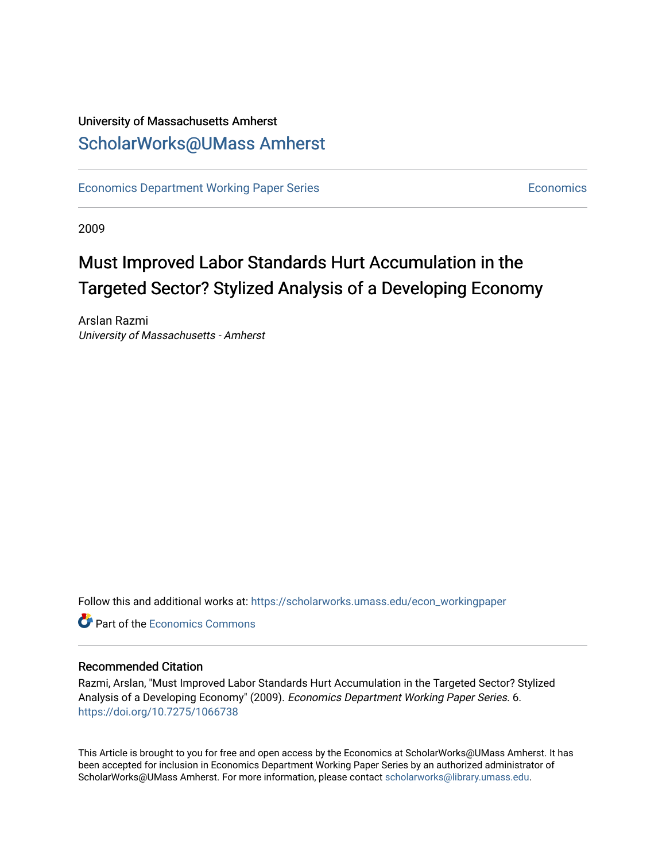## University of Massachusetts Amherst [ScholarWorks@UMass Amherst](https://scholarworks.umass.edu/)

[Economics Department Working Paper Series](https://scholarworks.umass.edu/econ_workingpaper) **Economics** [Economics](https://scholarworks.umass.edu/economics) Economics

2009

## Must Improved Labor Standards Hurt Accumulation in the Targeted Sector? Stylized Analysis of a Developing Economy

Arslan Razmi University of Massachusetts - Amherst

Follow this and additional works at: [https://scholarworks.umass.edu/econ\\_workingpaper](https://scholarworks.umass.edu/econ_workingpaper?utm_source=scholarworks.umass.edu%2Fecon_workingpaper%2F6&utm_medium=PDF&utm_campaign=PDFCoverPages) 

**C** Part of the [Economics Commons](http://network.bepress.com/hgg/discipline/340?utm_source=scholarworks.umass.edu%2Fecon_workingpaper%2F6&utm_medium=PDF&utm_campaign=PDFCoverPages)

### Recommended Citation

Razmi, Arslan, "Must Improved Labor Standards Hurt Accumulation in the Targeted Sector? Stylized Analysis of a Developing Economy" (2009). Economics Department Working Paper Series. 6. <https://doi.org/10.7275/1066738>

This Article is brought to you for free and open access by the Economics at ScholarWorks@UMass Amherst. It has been accepted for inclusion in Economics Department Working Paper Series by an authorized administrator of ScholarWorks@UMass Amherst. For more information, please contact [scholarworks@library.umass.edu.](mailto:scholarworks@library.umass.edu)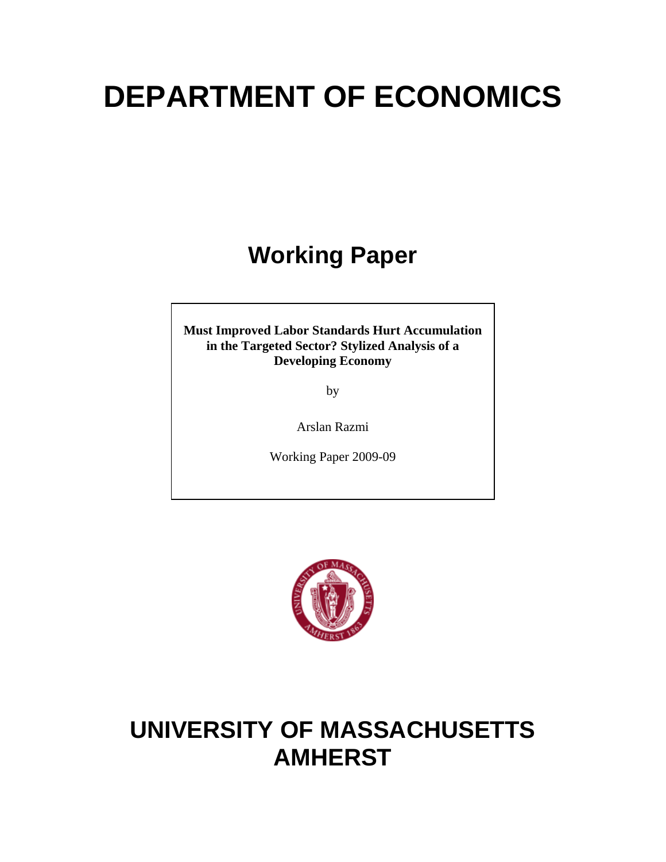# **DEPARTMENT OF ECONOMICS**

## **Working Paper**

**Must Improved Labor Standards Hurt Accumulation in the Targeted Sector? Stylized Analysis of a Developing Economy** 

by

Arslan Razmi

Working Paper 2009-09



## **UNIVERSITY OF MASSACHUSETTS AMHERST**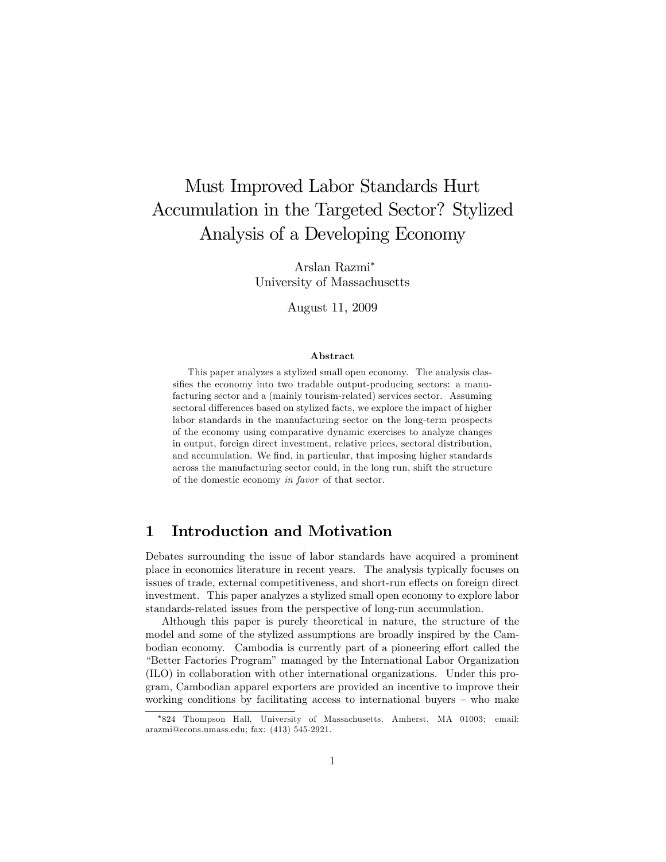## Must Improved Labor Standards Hurt Accumulation in the Targeted Sector? Stylized Analysis of a Developing Economy

Arslan Razmi University of Massachusetts

August 11, 2009

#### Abstract

This paper analyzes a stylized small open economy. The analysis classifies the economy into two tradable output-producing sectors: a manufacturing sector and a (mainly tourism-related) services sector. Assuming sectoral differences based on stylized facts, we explore the impact of higher labor standards in the manufacturing sector on the long-term prospects of the economy using comparative dynamic exercises to analyze changes in output, foreign direct investment, relative prices, sectoral distribution, and accumulation. We find, in particular, that imposing higher standards across the manufacturing sector could, in the long run, shift the structure of the domestic economy in favor of that sector.

## 1 Introduction and Motivation

Debates surrounding the issue of labor standards have acquired a prominent place in economics literature in recent years. The analysis typically focuses on issues of trade, external competitiveness, and short-run effects on foreign direct investment. This paper analyzes a stylized small open economy to explore labor standards-related issues from the perspective of long-run accumulation.

Although this paper is purely theoretical in nature, the structure of the model and some of the stylized assumptions are broadly inspired by the Cambodian economy. Cambodia is currently part of a pioneering effort called the ìBetter Factories Programîmanaged by the International Labor Organization (ILO) in collaboration with other international organizations. Under this program, Cambodian apparel exporters are provided an incentive to improve their working conditions by facilitating access to international buyers  $-$  who make

<sup>824</sup> Thompson Hall, University of Massachusetts, Amherst, MA 01003; email: arazmi@econs.umass.edu; fax: (413) 545-2921.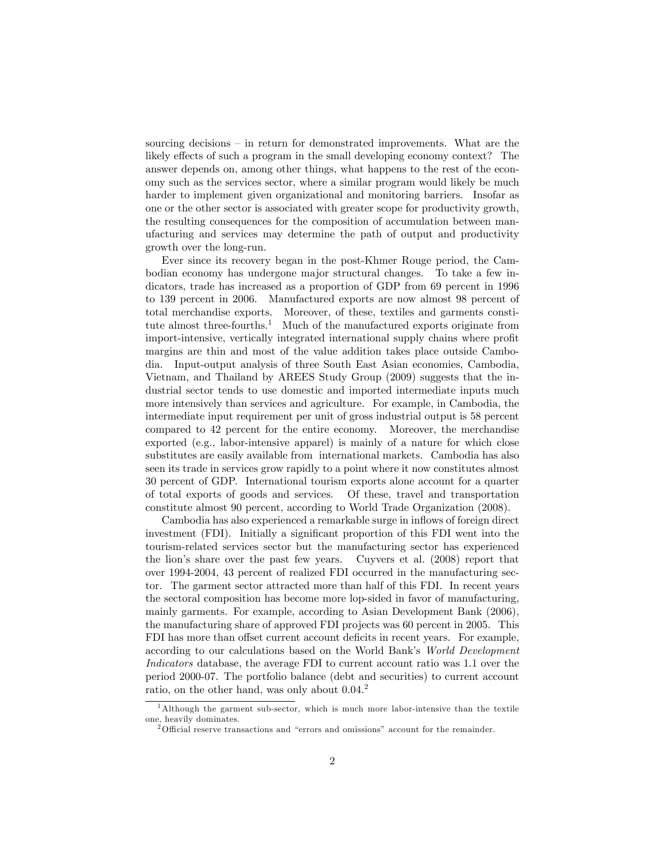sourcing decisions  $-$  in return for demonstrated improvements. What are the likely effects of such a program in the small developing economy context? The answer depends on, among other things, what happens to the rest of the economy such as the services sector, where a similar program would likely be much harder to implement given organizational and monitoring barriers. Insofar as one or the other sector is associated with greater scope for productivity growth, the resulting consequences for the composition of accumulation between manufacturing and services may determine the path of output and productivity growth over the long-run.

Ever since its recovery began in the post-Khmer Rouge period, the Cambodian economy has undergone major structural changes. To take a few indicators, trade has increased as a proportion of GDP from 69 percent in 1996 to 139 percent in 2006. Manufactured exports are now almost 98 percent of total merchandise exports. Moreover, of these, textiles and garments constitute almost three-fourths.<sup>1</sup> Much of the manufactured exports originate from import-intensive, vertically integrated international supply chains where profit margins are thin and most of the value addition takes place outside Cambodia. Input-output analysis of three South East Asian economies, Cambodia, Vietnam, and Thailand by AREES Study Group (2009) suggests that the industrial sector tends to use domestic and imported intermediate inputs much more intensively than services and agriculture. For example, in Cambodia, the intermediate input requirement per unit of gross industrial output is 58 percent compared to 42 percent for the entire economy. Moreover, the merchandise exported (e.g., labor-intensive apparel) is mainly of a nature for which close substitutes are easily available from international markets. Cambodia has also seen its trade in services grow rapidly to a point where it now constitutes almost 30 percent of GDP. International tourism exports alone account for a quarter of total exports of goods and services. Of these, travel and transportation constitute almost 90 percent, according to World Trade Organization (2008).

Cambodia has also experienced a remarkable surge in inflows of foreign direct investment (FDI). Initially a significant proportion of this FDI went into the tourism-related services sector but the manufacturing sector has experienced the lionís share over the past few years. Cuyvers et al. (2008) report that over 1994-2004, 43 percent of realized FDI occurred in the manufacturing sector. The garment sector attracted more than half of this FDI. In recent years the sectoral composition has become more lop-sided in favor of manufacturing, mainly garments. For example, according to Asian Development Bank (2006), the manufacturing share of approved FDI projects was 60 percent in 2005. This FDI has more than offset current account deficits in recent years. For example, according to our calculations based on the World Bank's World Development Indicators database, the average FDI to current account ratio was 1.1 over the period 2000-07. The portfolio balance (debt and securities) to current account ratio, on the other hand, was only about 0.04.<sup>2</sup>

<sup>&</sup>lt;sup>1</sup>Although the garment sub-sector, which is much more labor-intensive than the textile one, heavily dominates.

 $2$ <sup>2</sup>Official reserve transactions and "errors and omissions" account for the remainder.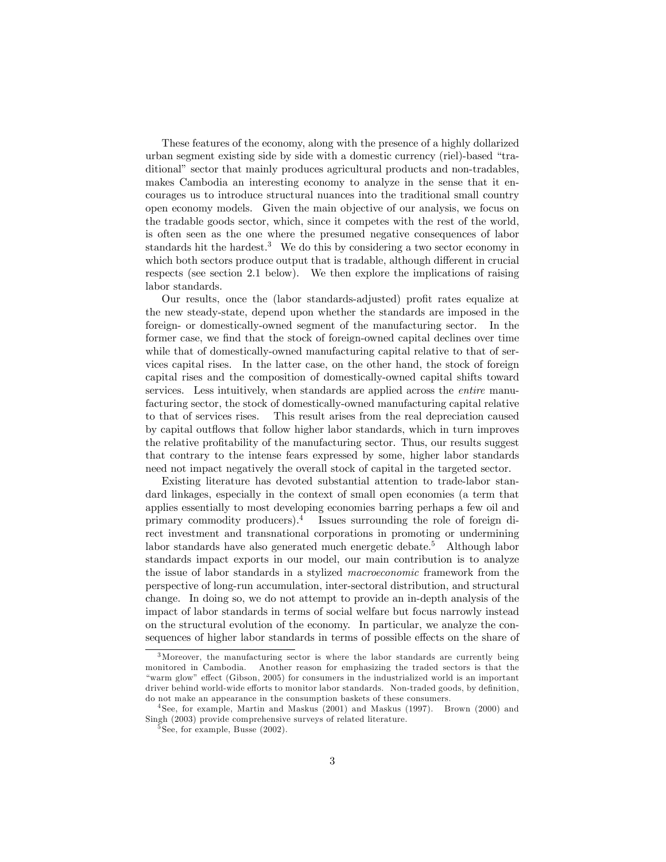These features of the economy, along with the presence of a highly dollarized urban segment existing side by side with a domestic currency (riel)-based "traditional" sector that mainly produces agricultural products and non-tradables, makes Cambodia an interesting economy to analyze in the sense that it encourages us to introduce structural nuances into the traditional small country open economy models. Given the main objective of our analysis, we focus on the tradable goods sector, which, since it competes with the rest of the world, is often seen as the one where the presumed negative consequences of labor standards hit the hardest.<sup>3</sup> We do this by considering a two sector economy in which both sectors produce output that is tradable, although different in crucial respects (see section 2.1 below). We then explore the implications of raising labor standards.

Our results, once the (labor standards-adjusted) profit rates equalize at the new steady-state, depend upon whether the standards are imposed in the foreign- or domestically-owned segment of the manufacturing sector. In the former case, we find that the stock of foreign-owned capital declines over time while that of domestically-owned manufacturing capital relative to that of services capital rises. In the latter case, on the other hand, the stock of foreign capital rises and the composition of domestically-owned capital shifts toward services. Less intuitively, when standards are applied across the entire manufacturing sector, the stock of domestically-owned manufacturing capital relative to that of services rises. This result arises from the real depreciation caused by capital outflows that follow higher labor standards, which in turn improves the relative profitability of the manufacturing sector. Thus, our results suggest that contrary to the intense fears expressed by some, higher labor standards need not impact negatively the overall stock of capital in the targeted sector.

Existing literature has devoted substantial attention to trade-labor standard linkages, especially in the context of small open economies (a term that applies essentially to most developing economies barring perhaps a few oil and primary commodity producers).<sup>4</sup> Issues surrounding the role of foreign direct investment and transnational corporations in promoting or undermining labor standards have also generated much energetic debate.<sup>5</sup> Although labor standards impact exports in our model, our main contribution is to analyze the issue of labor standards in a stylized macroeconomic framework from the perspective of long-run accumulation, inter-sectoral distribution, and structural change. In doing so, we do not attempt to provide an in-depth analysis of the impact of labor standards in terms of social welfare but focus narrowly instead on the structural evolution of the economy. In particular, we analyze the consequences of higher labor standards in terms of possible effects on the share of

<sup>3</sup>Moreover, the manufacturing sector is where the labor standards are currently being monitored in Cambodia. Another reason for emphasizing the traded sectors is that the ìwarm glowî e§ect (Gibson, 2005) for consumers in the industrialized world is an important driver behind world-wide efforts to monitor labor standards. Non-traded goods, by definition, do not make an appearance in the consumption baskets of these consumers.

<sup>4</sup> See, for example, Martin and Maskus (2001) and Maskus (1997). Brown (2000) and Singh (2003) provide comprehensive surveys of related literature.

 $5$  See, for example, Busse  $(2002)$ .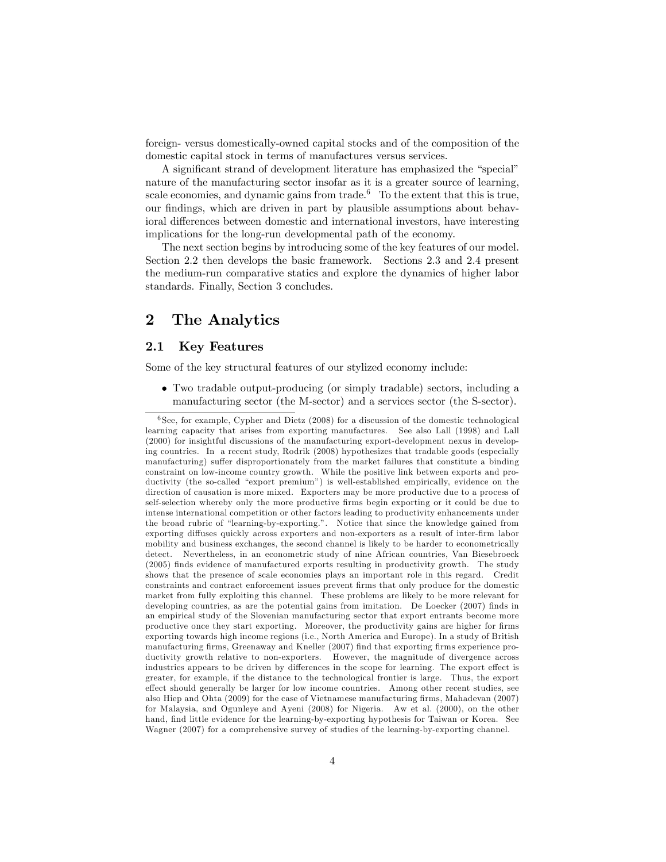foreign- versus domestically-owned capital stocks and of the composition of the domestic capital stock in terms of manufactures versus services.

A significant strand of development literature has emphasized the "special" nature of the manufacturing sector insofar as it is a greater source of learning, scale economies, and dynamic gains from trade.<sup>6</sup> To the extent that this is true, our findings, which are driven in part by plausible assumptions about behavioral differences between domestic and international investors, have interesting implications for the long-run developmental path of the economy.

The next section begins by introducing some of the key features of our model. Section 2.2 then develops the basic framework. Sections 2.3 and 2.4 present the medium-run comparative statics and explore the dynamics of higher labor standards. Finally, Section 3 concludes.

## 2 The Analytics

#### 2.1 Key Features

Some of the key structural features of our stylized economy include:

 Two tradable output-producing (or simply tradable) sectors, including a manufacturing sector (the M-sector) and a services sector (the S-sector).

 $6$  See, for example, Cypher and Dietz (2008) for a discussion of the domestic technological learning capacity that arises from exporting manufactures. See also Lall (1998) and Lall (2000) for insightful discussions of the manufacturing export-development nexus in developing countries. In a recent study, Rodrik (2008) hypothesizes that tradable goods (especially manufacturing) suffer disproportionately from the market failures that constitute a binding constraint on low-income country growth. While the positive link between exports and productivity (the so-called "export premium") is well-established empirically, evidence on the direction of causation is more mixed. Exporters may be more productive due to a process of self-selection whereby only the more productive Örms begin exporting or it could be due to intense international competition or other factors leading to productivity enhancements under the broad rubric of "learning-by-exporting.". Notice that since the knowledge gained from exporting diffuses quickly across exporters and non-exporters as a result of inter-firm labor mobility and business exchanges, the second channel is likely to be harder to econometrically detect. Nevertheless, in an econometric study of nine African countries, Van Biesebroeck (2005) Önds evidence of manufactured exports resulting in productivity growth. The study shows that the presence of scale economies plays an important role in this regard. Credit constraints and contract enforcement issues prevent firms that only produce for the domestic market from fully exploiting this channel. These problems are likely to be more relevant for developing countries, as are the potential gains from imitation. De Loecker (2007) finds in an empirical study of the Slovenian manufacturing sector that export entrants become more productive once they start exporting. Moreover, the productivity gains are higher for firms exporting towards high income regions (i.e., North America and Europe). In a study of British manufacturing firms, Greenaway and Kneller (2007) find that exporting firms experience productivity growth relative to non-exporters. However, the magnitude of divergence across industries appears to be driven by differences in the scope for learning. The export effect is greater, for example, if the distance to the technological frontier is large. Thus, the export effect should generally be larger for low income countries. Among other recent studies, see also Hiep and Ohta (2009) for the case of Vietnamese manufacturing firms, Mahadevan (2007) for Malaysia, and Ogunleye and Ayeni (2008) for Nigeria. Aw et al. (2000), on the other hand, find little evidence for the learning-by-exporting hypothesis for Taiwan or Korea. See Wagner (2007) for a comprehensive survey of studies of the learning-by-exporting channel.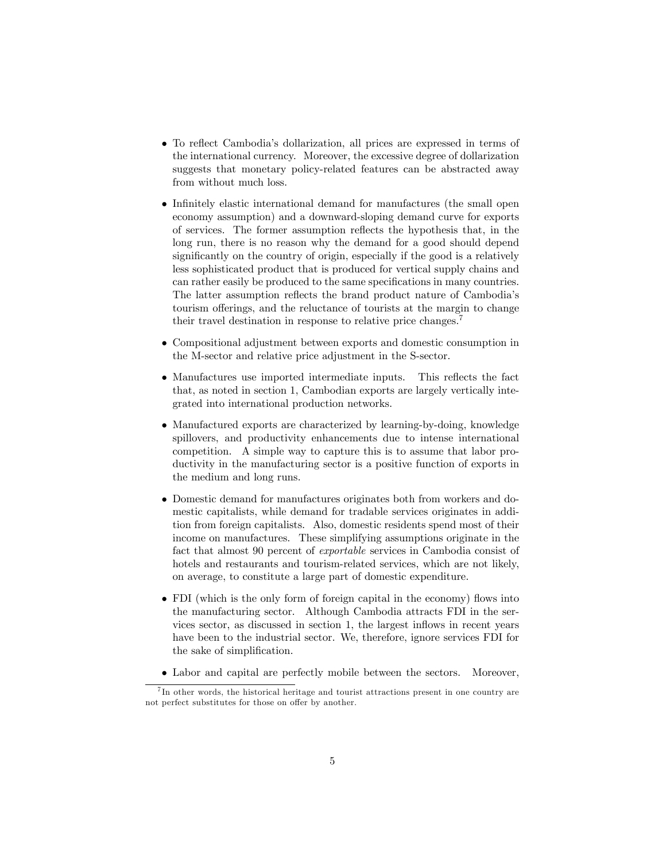- To reflect Cambodia's dollarization, all prices are expressed in terms of the international currency. Moreover, the excessive degree of dollarization suggests that monetary policy-related features can be abstracted away from without much loss.
- Infinitely elastic international demand for manufactures (the small open economy assumption) and a downward-sloping demand curve for exports of services. The former assumption reflects the hypothesis that, in the long run, there is no reason why the demand for a good should depend significantly on the country of origin, especially if the good is a relatively less sophisticated product that is produced for vertical supply chains and can rather easily be produced to the same specifications in many countries. The latter assumption reflects the brand product nature of Cambodia's tourism offerings, and the reluctance of tourists at the margin to change their travel destination in response to relative price changes.<sup>7</sup>
- Compositional adjustment between exports and domestic consumption in the M-sector and relative price adjustment in the S-sector.
- Manufactures use imported intermediate inputs. This reflects the fact that, as noted in section 1, Cambodian exports are largely vertically integrated into international production networks.
- Manufactured exports are characterized by learning-by-doing, knowledge spillovers, and productivity enhancements due to intense international competition. A simple way to capture this is to assume that labor productivity in the manufacturing sector is a positive function of exports in the medium and long runs.
- Domestic demand for manufactures originates both from workers and domestic capitalists, while demand for tradable services originates in addition from foreign capitalists. Also, domestic residents spend most of their income on manufactures. These simplifying assumptions originate in the fact that almost 90 percent of exportable services in Cambodia consist of hotels and restaurants and tourism-related services, which are not likely, on average, to constitute a large part of domestic expenditure.
- FDI (which is the only form of foreign capital in the economy) flows into the manufacturing sector. Although Cambodia attracts FDI in the services sector, as discussed in section 1, the largest inflows in recent years have been to the industrial sector. We, therefore, ignore services FDI for the sake of simplification.
- Labor and capital are perfectly mobile between the sectors. Moreover,

<sup>&</sup>lt;sup>7</sup>In other words, the historical heritage and tourist attractions present in one country are not perfect substitutes for those on offer by another.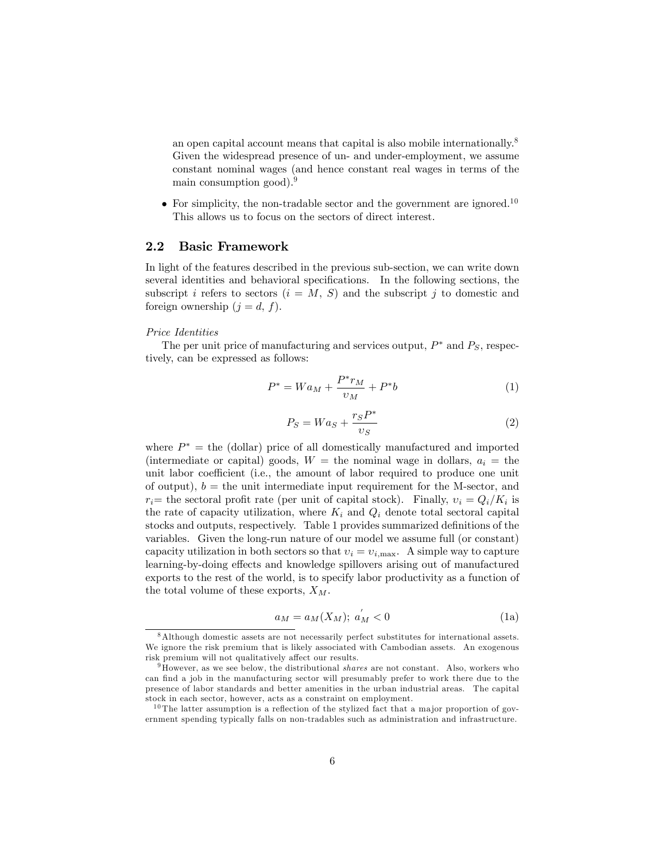an open capital account means that capital is also mobile internationally.<sup>8</sup> Given the widespread presence of un- and under-employment, we assume constant nominal wages (and hence constant real wages in terms of the main consumption good).<sup>9</sup>

 $\bullet$  For simplicity, the non-tradable sector and the government are ignored.<sup>10</sup> This allows us to focus on the sectors of direct interest.

#### 2.2 Basic Framework

In light of the features described in the previous sub-section, we can write down several identities and behavioral specifications. In the following sections, the subscript i refers to sectors  $(i = M, S)$  and the subscript j to domestic and foreign ownership  $(j = d, f)$ .

#### Price Identities

The per unit price of manufacturing and services output,  $P^*$  and  $P_S$ , respectively, can be expressed as follows:

$$
P^* = Wa_M + \frac{P^* r_M}{v_M} + P^* b \tag{1}
$$

$$
P_S = Wa_S + \frac{r_S P^*}{v_S} \tag{2}
$$

where  $P^*$  = the (dollar) price of all domestically manufactured and imported (intermediate or capital) goods,  $W =$  the nominal wage in dollars,  $a_i =$  the unit labor coefficient (i.e., the amount of labor required to produce one unit of output),  $b =$  the unit intermediate input requirement for the M-sector, and  $r_i$ = the sectoral profit rate (per unit of capital stock). Finally,  $v_i = Q_i/K_i$  is the rate of capacity utilization, where  $K_i$  and  $Q_i$  denote total sectoral capital stocks and outputs, respectively. Table 1 provides summarized definitions of the variables. Given the long-run nature of our model we assume full (or constant) capacity utilization in both sectors so that  $v_i = v_{i,\text{max}}$ . A simple way to capture learning-by-doing effects and knowledge spillovers arising out of manufactured exports to the rest of the world, is to specify labor productivity as a function of the total volume of these exports,  $X_M$ .

$$
a_M = a_M(X_M); \ a'_M < 0 \tag{1a}
$$

<sup>8</sup>Although domestic assets are not necessarily perfect substitutes for international assets. We ignore the risk premium that is likely associated with Cambodian assets. An exogenous risk premium will not qualitatively affect our results.

 $9$ However, as we see below, the distributional *shares* are not constant. Also, workers who can find a job in the manufacturing sector will presumably prefer to work there due to the presence of labor standards and better amenities in the urban industrial areas. The capital stock in each sector, however, acts as a constraint on employment.

 $10$  The latter assumption is a reflection of the stylized fact that a major proportion of government spending typically falls on non-tradables such as administration and infrastructure.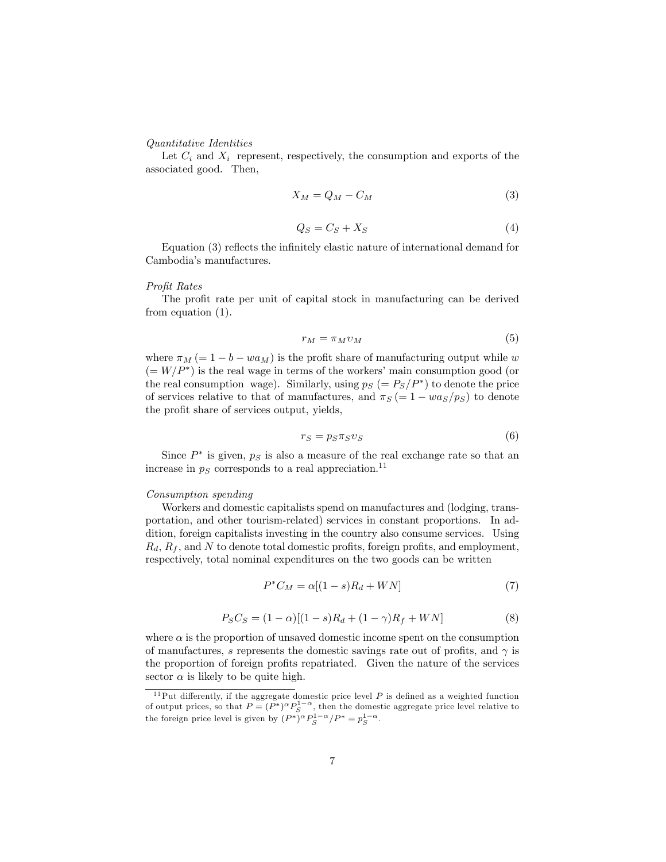#### Quantitative Identities

Let  $C_i$  and  $X_i$  represent, respectively, the consumption and exports of the associated good. Then,

$$
X_M = Q_M - C_M \tag{3}
$$

$$
Q_S = C_S + X_S \tag{4}
$$

Equation  $(3)$  reflects the infinitely elastic nature of international demand for Cambodiaís manufactures.

#### Profit Rates

The profit rate per unit of capital stock in manufacturing can be derived from equation (1).

$$
r_M = \pi_M v_M \tag{5}
$$

where  $\pi_M (= 1 - b - wa_M)$  is the profit share of manufacturing output while w  $(= W/P^*)$  is the real wage in terms of the workers' main consumption good (or the real consumption wage). Similarly, using  $p_S = \frac{P_S}{P^*}$  to denote the price of services relative to that of manufactures, and  $\pi_S = 1 - w a_S/p_S$  to denote the profit share of services output, yields,

$$
r_S = p_S \pi_S v_S \tag{6}
$$

Since  $P^*$  is given,  $p_S$  is also a measure of the real exchange rate so that an increase in  $p_S$  corresponds to a real appreciation.<sup>11</sup>

#### Consumption spending

Workers and domestic capitalists spend on manufactures and (lodging, transportation, and other tourism-related) services in constant proportions. In addition, foreign capitalists investing in the country also consume services. Using  $R_d$ ,  $R_f$ , and N to denote total domestic profits, foreign profits, and employment, respectively, total nominal expenditures on the two goods can be written

$$
P^*C_M = \alpha[(1-s)R_d + WN] \tag{7}
$$

$$
P_S C_S = (1 - \alpha)[(1 - s)R_d + (1 - \gamma)R_f + WN]
$$
\n(8)

where  $\alpha$  is the proportion of unsaved domestic income spent on the consumption of manufactures, s represents the domestic savings rate out of profits, and  $\gamma$  is the proportion of foreign profits repatriated. Given the nature of the services sector  $\alpha$  is likely to be quite high.

 $11$ Put differently, if the aggregate domestic price level P is defined as a weighted function of output prices, so that  $P = (P^*)^{\alpha} P_S^{1-\alpha}$ , then the domestic aggregate price level relative to the foreign price level is given by  $(P^*)^{\alpha} P_S^{1-\alpha}/P^* = p_S^{1-\alpha}$ .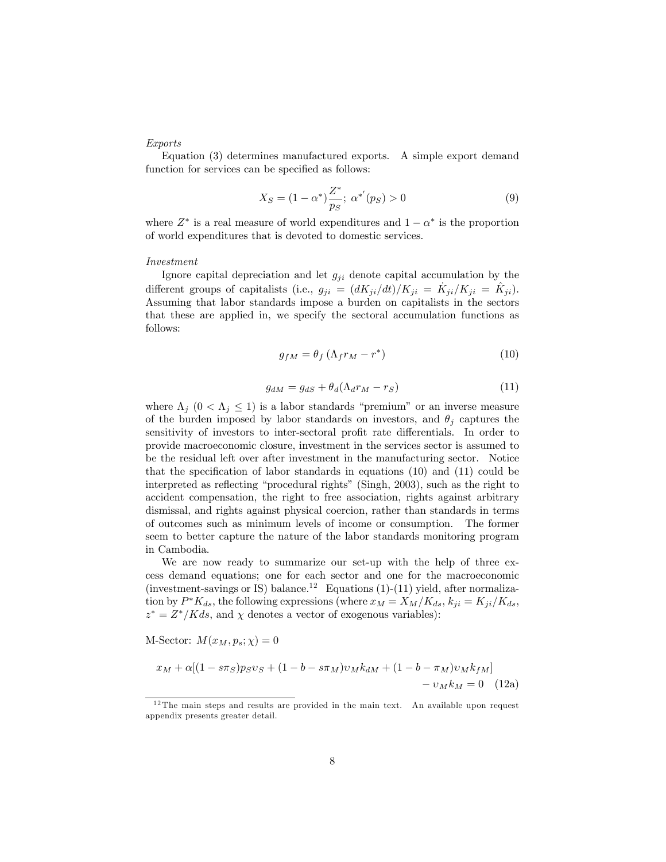#### Exports

Equation (3) determines manufactured exports. A simple export demand function for services can be specified as follows:

$$
X_S = (1 - \alpha^*) \frac{Z^*}{p_S}; \ \alpha^{*'}(p_S) > 0 \tag{9}
$$

where  $Z^*$  is a real measure of world expenditures and  $1 - \alpha^*$  is the proportion of world expenditures that is devoted to domestic services.

#### Investment

Ignore capital depreciation and let  $g_{ji}$  denote capital accumulation by the different groups of capitalists (i.e.,  $g_{ji} = (dK_{ji}/dt)/K_{ji} = \dot{K}_{ji}/K_{ji} = \dot{K}_{ji}$ ). Assuming that labor standards impose a burden on capitalists in the sectors that these are applied in, we specify the sectoral accumulation functions as follows:

$$
g_{fM} = \theta_f \left( \Lambda_f r_M - r^* \right) \tag{10}
$$

$$
g_{dM} = g_{dS} + \theta_d(\Lambda_d r_M - r_S) \tag{11}
$$

where  $\Lambda_j$   $(0 < \Lambda_j \leq 1)$  is a labor standards "premium" or an inverse measure of the burden imposed by labor standards on investors, and  $\theta_j$  captures the sensitivity of investors to inter-sectoral profit rate differentials. In order to provide macroeconomic closure, investment in the services sector is assumed to be the residual left over after investment in the manufacturing sector. Notice that the specification of labor standards in equations  $(10)$  and  $(11)$  could be interpreted as reflecting "procedural rights" (Singh, 2003), such as the right to accident compensation, the right to free association, rights against arbitrary dismissal, and rights against physical coercion, rather than standards in terms of outcomes such as minimum levels of income or consumption. The former seem to better capture the nature of the labor standards monitoring program in Cambodia.

We are now ready to summarize our set-up with the help of three excess demand equations; one for each sector and one for the macroeconomic (investment-savings or IS) balance.<sup>12</sup> Equations (1)-(11) yield, after normalization by  $P^*K_{ds}$ , the following expressions (where  $x_M=X_M/K_{ds}, k_{ji}=K_{ji}/K_{ds}$ ,  $z^* = Z^* / K ds$ , and  $\chi$  denotes a vector of exogenous variables):

M-Sector:  $M(x_M, p_s; \chi) = 0$ 

$$
x_M + \alpha [(1 - s\pi_S) p_S v_S + (1 - b - s\pi_M) v_M k_{dM} + (1 - b - \pi_M) v_M k_{fM}] - v_M k_M = 0
$$
 (12a)

 $12$  The main steps and results are provided in the main text. An available upon request appendix presents greater detail.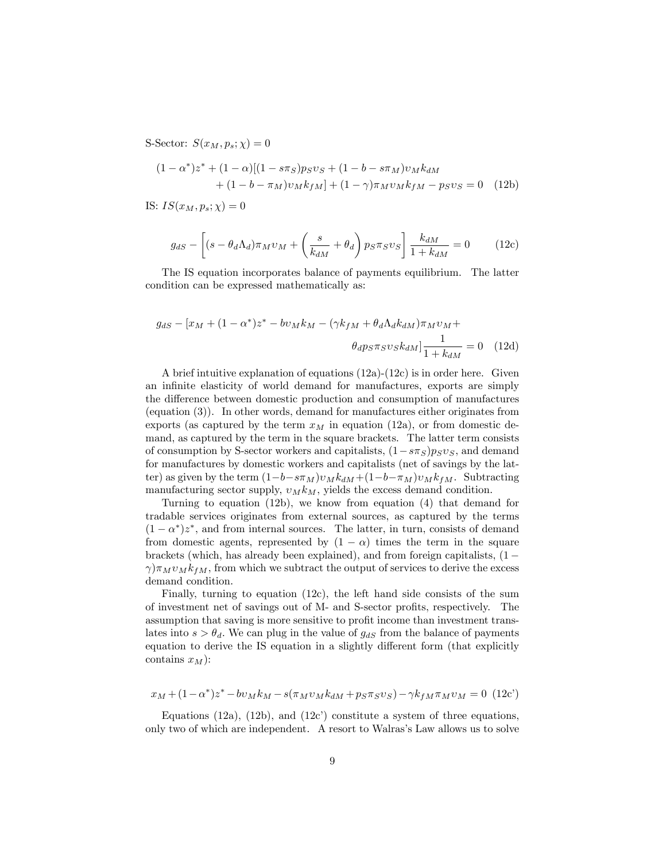S-Sector:  $S(x_M, p_s; \chi) = 0$ 

$$
(1 - \alpha^*)z^* + (1 - \alpha)[(1 - s\pi_S)p_S v_S + (1 - b - s\pi_M)v_M k_{dM} + (1 - b - \pi_M)v_M k_{fM}] + (1 - \gamma)\pi_M v_M k_{fM} - p_S v_S = 0
$$
 (12b)

IS:  $IS(x_M, p_s; \chi) = 0$ 

$$
g_{dS} - \left[ (s - \theta_d \Lambda_d) \pi_M v_M + \left( \frac{s}{k_{dM}} + \theta_d \right) p_S \pi_S v_S \right] \frac{k_{dM}}{1 + k_{dM}} = 0 \tag{12c}
$$

The IS equation incorporates balance of payments equilibrium. The latter condition can be expressed mathematically as:

$$
g_{dS} - [x_M + (1 - \alpha^*)z^* - bv_Mk_M - (\gamma k_{fM} + \theta_d \Lambda_d k_{dM})\pi_M v_M +
$$

$$
\theta_d p_S \pi_S v_S k_{dM}] \frac{1}{1 + k_{dM}} = 0 \quad (12d)
$$

A brief intuitive explanation of equations  $(12a)-(12c)$  is in order here. Given an infinite elasticity of world demand for manufactures, exports are simply the difference between domestic production and consumption of manufactures (equation (3)). In other words, demand for manufactures either originates from exports (as captured by the term  $x_M$  in equation (12a), or from domestic demand, as captured by the term in the square brackets. The latter term consists of consumption by S-sector workers and capitalists,  $(1-s\pi_S)p_Sv_S$ , and demand for manufactures by domestic workers and capitalists (net of savings by the latter) as given by the term  $(1-b-s\pi_M)v_Mk_{dM} + (1-b-\pi_M)v_Mk_{fM}$ . Subtracting manufacturing sector supply,  $v_M k_M$ , yields the excess demand condition.

Turning to equation (12b), we know from equation (4) that demand for tradable services originates from external sources, as captured by the terms  $(1 - \alpha^*)z^*$ , and from internal sources. The latter, in turn, consists of demand from domestic agents, represented by  $(1 - \alpha)$  times the term in the square brackets (which, has already been explained), and from foreign capitalists,  $(1 \gamma$ ) $\pi_M v_M k_f$ , from which we subtract the output of services to derive the excess demand condition.

Finally, turning to equation (12c), the left hand side consists of the sum of investment net of savings out of M- and S-sector profits, respectively. The assumption that saving is more sensitive to profit income than investment translates into  $s > \theta_d$ . We can plug in the value of  $g_{dS}$  from the balance of payments equation to derive the IS equation in a slightly different form (that explicitly contains  $x_M$ ):

$$
x_M + (1 - \alpha^*)z^* - b v_M k_M - s(\pi_M v_M k_{dM} + p_S \pi_S v_S) - \gamma k_{fM} \pi_M v_M = 0
$$
 (12c')

Equations (12a), (12b), and (12c') constitute a system of three equations, only two of which are independent. A resort to Walras's Law allows us to solve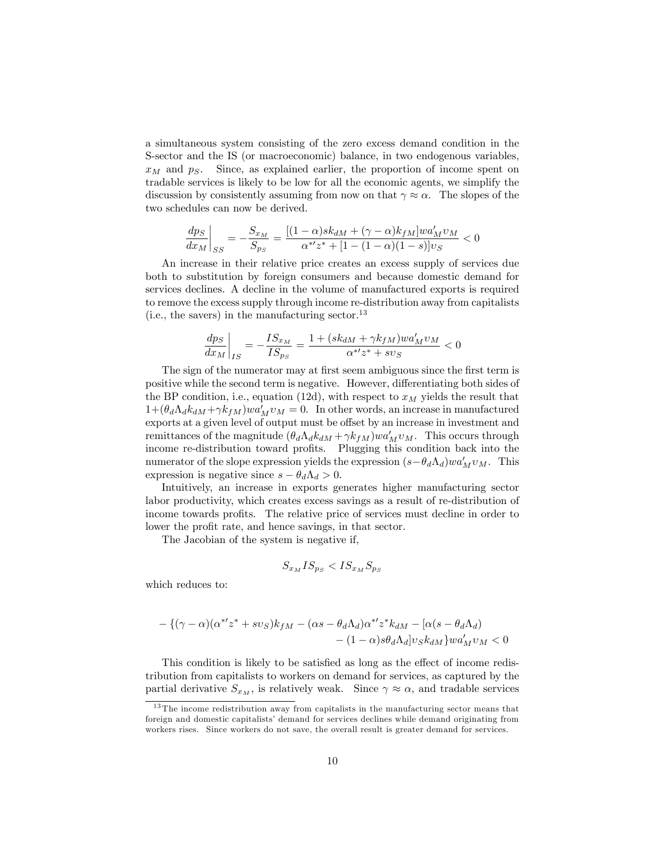a simultaneous system consisting of the zero excess demand condition in the S-sector and the IS (or macroeconomic) balance, in two endogenous variables,  $x_M$  and  $p_S$ . Since, as explained earlier, the proportion of income spent on tradable services is likely to be low for all the economic agents, we simplify the discussion by consistently assuming from now on that  $\gamma \approx \alpha$ . The slopes of the two schedules can now be derived.

$$
\frac{dp_S}{dx_M}\bigg|_{SS} = -\frac{S_{x_M}}{S_{p_S}} = \frac{[(1-\alpha)sk_{dM} + (\gamma-\alpha)k_{fM}]wa_M'v_M}{\alpha^{*'}z^* + [1-(1-\alpha)(1-s)]v_S} < 0
$$

An increase in their relative price creates an excess supply of services due both to substitution by foreign consumers and because domestic demand for services declines. A decline in the volume of manufactured exports is required to remove the excess supply through income re-distribution away from capitalists (i.e., the savers) in the manufacturing sector.<sup>13</sup>

$$
\left.\frac{dps}{dx_M}\right|_{IS}=-\frac{IS_{x_M}}{IS_{p_S}}=\frac{1+(sk_{dM}+\gamma k_{fM})wa_M'v_M}{\alpha^{*}\prime z^*+sv_S}<0
$$

The sign of the numerator may at first seem ambiguous since the first term is positive while the second term is negative. However, differentiating both sides of the BP condition, i.e., equation (12d), with respect to  $x_M$  yields the result that  $1 + (\theta_d \Lambda_d k_{dM} + \gamma k_{fM}) w a_M' v_M = 0$ . In other words, an increase in manufactured exports at a given level of output must be offset by an increase in investment and remittances of the magnitude  $(\theta_d \Lambda_d k_{dM} + \gamma k_{fM}) w a_M' v_M$ . This occurs through income re-distribution toward profits. Plugging this condition back into the numerator of the slope expression yields the expression  $(s - \theta_d \Lambda_d)wa_M'v_M$ . This expression is negative since  $s - \theta_d \Lambda_d > 0$ .

Intuitively, an increase in exports generates higher manufacturing sector labor productivity, which creates excess savings as a result of re-distribution of income towards profits. The relative price of services must decline in order to lower the profit rate, and hence savings, in that sector.

The Jacobian of the system is negative if,

$$
S_{x_M} I S_{p_S} < I S_{x_M} S_{p_S}
$$

which reduces to:

$$
-\left\{(\gamma-\alpha)(\alpha^{*\prime}z^*+sv_S)k_{fM}-(\alpha s-\theta_d\Lambda_d)\alpha^{*\prime}z^*k_{dM}-[\alpha(s-\theta_d\Lambda_d)\\-(1-\alpha)s\theta_d\Lambda_d]v_Sk_{dM}\right\}wa_M'\nu_M<0
$$

This condition is likely to be satisfied as long as the effect of income redistribution from capitalists to workers on demand for services, as captured by the partial derivative  $S_{x_M}$ , is relatively weak. Since  $\gamma \approx \alpha$ , and tradable services

<sup>&</sup>lt;sup>13</sup> The income redistribution away from capitalists in the manufacturing sector means that foreign and domestic capitalists' demand for services declines while demand originating from workers rises. Since workers do not save, the overall result is greater demand for services.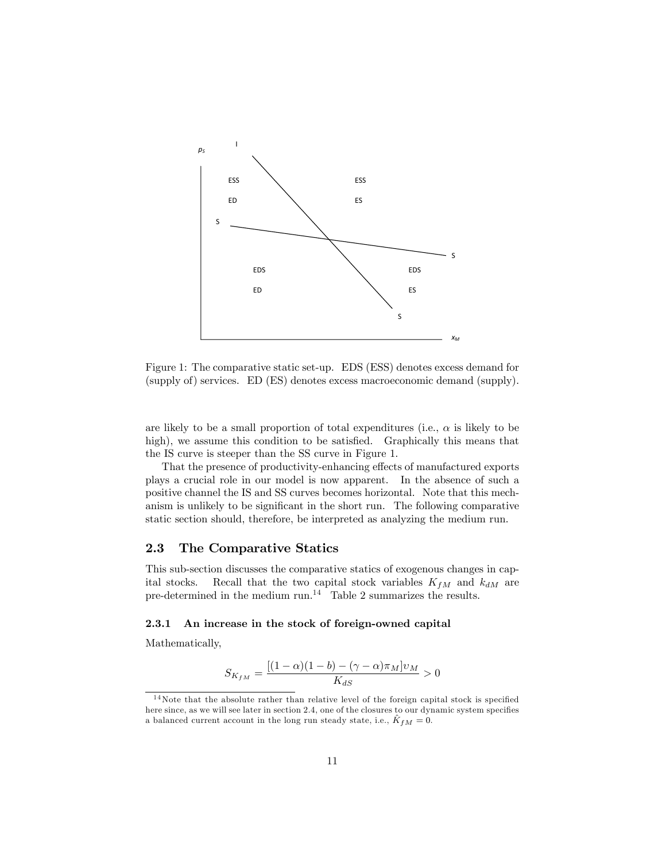

Figure 1: The comparative static set-up. EDS (ESS) denotes excess demand for (supply of) services. ED (ES) denotes excess macroeconomic demand (supply).

are likely to be a small proportion of total expenditures (i.e.,  $\alpha$  is likely to be high), we assume this condition to be satisfied. Graphically this means that the IS curve is steeper than the SS curve in Figure 1.

That the presence of productivity-enhancing effects of manufactured exports plays a crucial role in our model is now apparent. In the absence of such a positive channel the IS and SS curves becomes horizontal. Note that this mechanism is unlikely to be significant in the short run. The following comparative static section should, therefore, be interpreted as analyzing the medium run.

#### 2.3 The Comparative Statics

This sub-section discusses the comparative statics of exogenous changes in capital stocks. Recall that the two capital stock variables  $K_{fM}$  and  $k_{dM}$  are pre-determined in the medium run.<sup>14</sup> Table 2 summarizes the results.

#### 2.3.1 An increase in the stock of foreign-owned capital

Mathematically,

$$
S_{K_{fM}} = \frac{[(1-\alpha)(1-b) - (\gamma - \alpha)\pi_M]v_M}{K_{dS}} > 0
$$

 $14$ Note that the absolute rather than relative level of the foreign capital stock is specified here since, as we will see later in section 2.4, one of the closures to our dynamic system specifies a balanced current account in the long run steady state, i.e.,  $\hat{K}_{fM} = 0$ .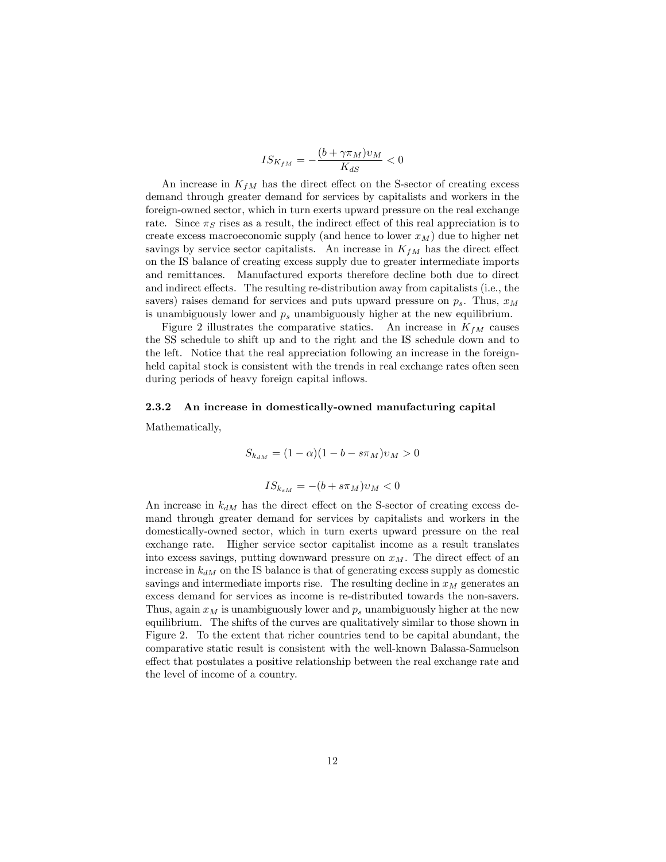$$
IS_{K_{fM}} = -\frac{(b + \gamma \pi_M)v_M}{K_{dS}} < 0
$$

An increase in  $K_{fM}$  has the direct effect on the S-sector of creating excess demand through greater demand for services by capitalists and workers in the foreign-owned sector, which in turn exerts upward pressure on the real exchange rate. Since  $\pi_S$  rises as a result, the indirect effect of this real appreciation is to create excess macroeconomic supply (and hence to lower  $x_M$ ) due to higher net savings by service sector capitalists. An increase in  $K_{fM}$  has the direct effect on the IS balance of creating excess supply due to greater intermediate imports and remittances. Manufactured exports therefore decline both due to direct and indirect effects. The resulting re-distribution away from capitalists (i.e., the savers) raises demand for services and puts upward pressure on  $p_s$ . Thus,  $x_M$ is unambiguously lower and  $p_s$  unambiguously higher at the new equilibrium.

Figure 2 illustrates the comparative statics. An increase in  $K_{fM}$  causes the SS schedule to shift up and to the right and the IS schedule down and to the left. Notice that the real appreciation following an increase in the foreignheld capital stock is consistent with the trends in real exchange rates often seen during periods of heavy foreign capital inflows.

#### 2.3.2 An increase in domestically-owned manufacturing capital

Mathematically,

$$
S_{k_{dM}} = (1 - \alpha)(1 - b - s\pi_M)v_M > 0
$$

$$
IS_{k_{sM}} = -(b + s\pi_M)v_M < 0
$$

An increase in  $k_{dM}$  has the direct effect on the S-sector of creating excess demand through greater demand for services by capitalists and workers in the domestically-owned sector, which in turn exerts upward pressure on the real exchange rate. Higher service sector capitalist income as a result translates into excess savings, putting downward pressure on  $x_M$ . The direct effect of an increase in  $k_{dM}$  on the IS balance is that of generating excess supply as domestic savings and intermediate imports rise. The resulting decline in  $x_M$  generates an excess demand for services as income is re-distributed towards the non-savers. Thus, again  $x_M$  is unambiguously lower and  $p_s$  unambiguously higher at the new equilibrium. The shifts of the curves are qualitatively similar to those shown in Figure 2. To the extent that richer countries tend to be capital abundant, the comparative static result is consistent with the well-known Balassa-Samuelson effect that postulates a positive relationship between the real exchange rate and the level of income of a country.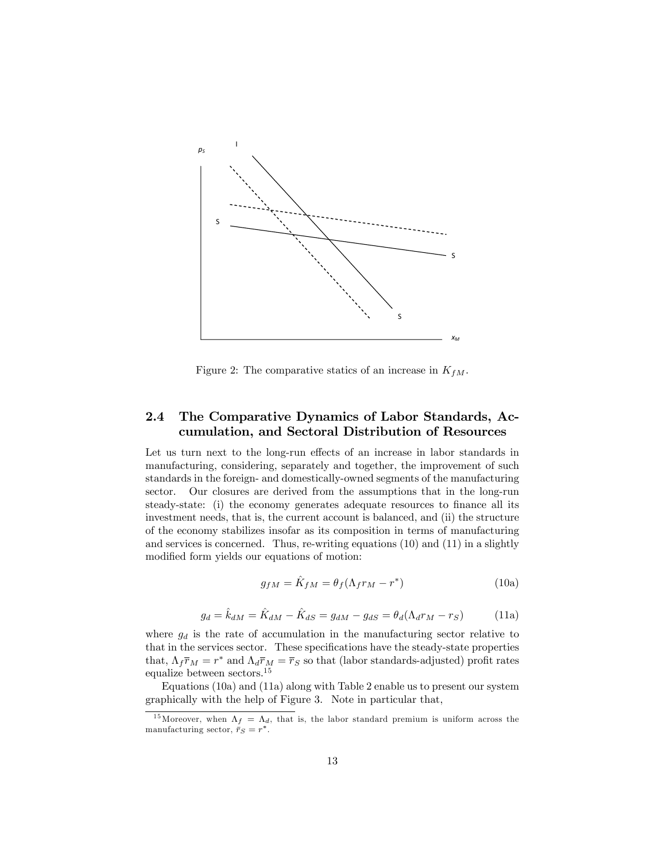

Figure 2: The comparative statics of an increase in  $K_{fM}$ .

### 2.4 The Comparative Dynamics of Labor Standards, Accumulation, and Sectoral Distribution of Resources

Let us turn next to the long-run effects of an increase in labor standards in manufacturing, considering, separately and together, the improvement of such standards in the foreign- and domestically-owned segments of the manufacturing sector. Our closures are derived from the assumptions that in the long-run steady-state: (i) the economy generates adequate resources to finance all its investment needs, that is, the current account is balanced, and (ii) the structure of the economy stabilizes insofar as its composition in terms of manufacturing and services is concerned. Thus, re-writing equations (10) and (11) in a slightly modified form yields our equations of motion:

$$
g_{fM} = \hat{K}_{fM} = \theta_f (\Lambda_f r_M - r^*)
$$
\n(10a)

$$
g_d = \hat{k}_{dM} = \hat{K}_{dM} - \hat{K}_{dS} = g_{dM} - g_{dS} = \theta_d(\Lambda_d r_M - r_S)
$$
(11a)

where  $g_d$  is the rate of accumulation in the manufacturing sector relative to that in the services sector. These specifications have the steady-state properties that,  $\Lambda_f \bar{r}_M = r^*$  and  $\Lambda_d \bar{r}_M = \bar{r}_S$  so that (labor standards-adjusted) profit rates equalize between sectors.<sup>15</sup>

Equations (10a) and (11a) along with Table 2 enable us to present our system graphically with the help of Figure 3. Note in particular that,

<sup>&</sup>lt;sup>15</sup>Moreover, when  $\Lambda_f = \Lambda_d$ , that is, the labor standard premium is uniform across the manufacturing sector,  $\bar{r}_S = r^*$ .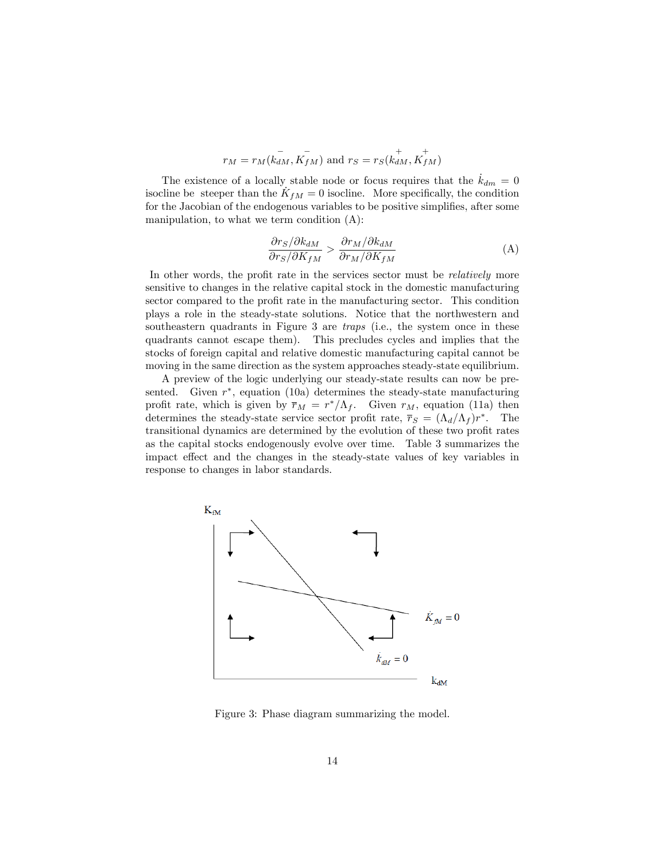$$
r_M=r_M(\stackrel{-}{k_{dM}}, \stackrel{-}{K_{fM}})
$$
 and  $r_S=r_S(\stackrel{+}{k_{dM}}, \stackrel{+}{K_{fM}})$ 

The existence of a locally stable node or focus requires that the  $k_{dm} = 0$ isocline be steeper than the  $K_{fM} = 0$  isocline. More specifically, the condition for the Jacobian of the endogenous variables to be positive simplifies, after some manipulation, to what we term condition (A):

$$
\frac{\partial r_S/\partial k_{dM}}{\partial r_S/\partial K_{fM}} > \frac{\partial r_M/\partial k_{dM}}{\partial r_M/\partial K_{fM}}
$$
(A)

In other words, the profit rate in the services sector must be *relatively* more sensitive to changes in the relative capital stock in the domestic manufacturing sector compared to the profit rate in the manufacturing sector. This condition plays a role in the steady-state solutions. Notice that the northwestern and southeastern quadrants in Figure 3 are *traps* (i.e., the system once in these quadrants cannot escape them). This precludes cycles and implies that the stocks of foreign capital and relative domestic manufacturing capital cannot be moving in the same direction as the system approaches steady-state equilibrium.

A preview of the logic underlying our steady-state results can now be presented. Given  $r^*$ , equation (10a) determines the steady-state manufacturing profit rate, which is given by  $\overline{r}_M = r^*/\Lambda_f$ . Given  $r_M$ , equation (11a) then determines the steady-state service sector profit rate,  $\bar{r}_S = (\Lambda_d/\Lambda_f) r^*$ . The transitional dynamics are determined by the evolution of these two profit rates as the capital stocks endogenously evolve over time. Table 3 summarizes the impact effect and the changes in the steady-state values of key variables in response to changes in labor standards.



Figure 3: Phase diagram summarizing the model.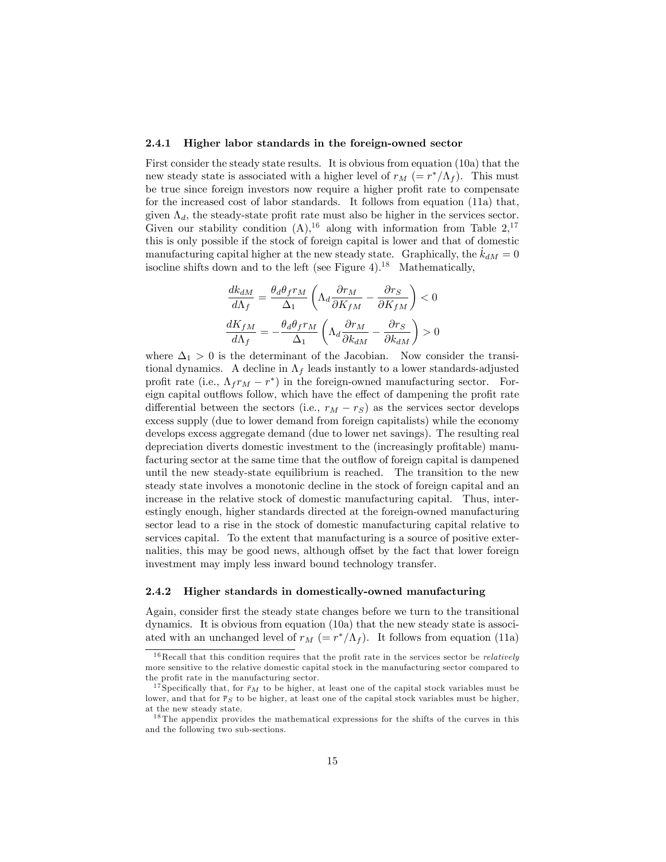#### 2.4.1 Higher labor standards in the foreign-owned sector

First consider the steady state results. It is obvious from equation (10a) that the new steady state is associated with a higher level of  $r_M$  (=  $r^*/\Lambda_f$ ). This must be true since foreign investors now require a higher profit rate to compensate for the increased cost of labor standards. It follows from equation (11a) that, given  $\Lambda_d$ , the steady-state profit rate must also be higher in the services sector. Given our stability condition  $(A)$ , <sup>16</sup> along with information from Table  $2$ , <sup>17</sup> this is only possible if the stock of foreign capital is lower and that of domestic manufacturing capital higher at the new steady state. Graphically, the  $k_{dM} = 0$ isocline shifts down and to the left (see Figure 4).<sup>18</sup> Mathematically,

$$
\begin{aligned} \frac{dk_{dM}}{d\Lambda_f} &= \frac{\theta_d\theta_f r_M}{\Delta_1}\left(\Lambda_d\frac{\partial r_M}{\partial K_{fM}} - \frac{\partial r_S}{\partial K_{fM}}\right) < 0\\ \frac{dK_{fM}}{d\Lambda_f} &= -\frac{\theta_d\theta_f r_M}{\Delta_1}\left(\Lambda_d\frac{\partial r_M}{\partial k_{dM}} - \frac{\partial r_S}{\partial k_{dM}}\right) > 0 \end{aligned}
$$

where  $\Delta_1 > 0$  is the determinant of the Jacobian. Now consider the transitional dynamics. A decline in  $\Lambda_f$  leads instantly to a lower standards-adjusted profit rate (i.e.,  $\Lambda_f r_M - r^*$ ) in the foreign-owned manufacturing sector. Foreign capital outflows follow, which have the effect of dampening the profit rate differential between the sectors (i.e.,  $r_M - r_S$ ) as the services sector develops excess supply (due to lower demand from foreign capitalists) while the economy develops excess aggregate demand (due to lower net savings). The resulting real depreciation diverts domestic investment to the (increasingly profitable) manufacturing sector at the same time that the outflow of foreign capital is dampened until the new steady-state equilibrium is reached. The transition to the new steady state involves a monotonic decline in the stock of foreign capital and an increase in the relative stock of domestic manufacturing capital. Thus, interestingly enough, higher standards directed at the foreign-owned manufacturing sector lead to a rise in the stock of domestic manufacturing capital relative to services capital. To the extent that manufacturing is a source of positive externalities, this may be good news, although offset by the fact that lower foreign investment may imply less inward bound technology transfer.

#### 2.4.2 Higher standards in domestically-owned manufacturing

Again, consider first the steady state changes before we turn to the transitional dynamics. It is obvious from equation (10a) that the new steady state is associated with an unchanged level of  $r_M$  (=  $r^*/\Lambda_f$ ). It follows from equation (11a)

 $16$  Recall that this condition requires that the profit rate in the services sector be *relatively* more sensitive to the relative domestic capital stock in the manufacturing sector compared to the profit rate in the manufacturing sector.

<sup>&</sup>lt;sup>17</sup> Specifically that, for  $\bar{r}_M$  to be higher, at least one of the capital stock variables must be lower, and that for  $\overline{r}_S$  to be higher, at least one of the capital stock variables must be higher, at the new steady state.

<sup>&</sup>lt;sup>18</sup> The appendix provides the mathematical expressions for the shifts of the curves in this and the following two sub-sections.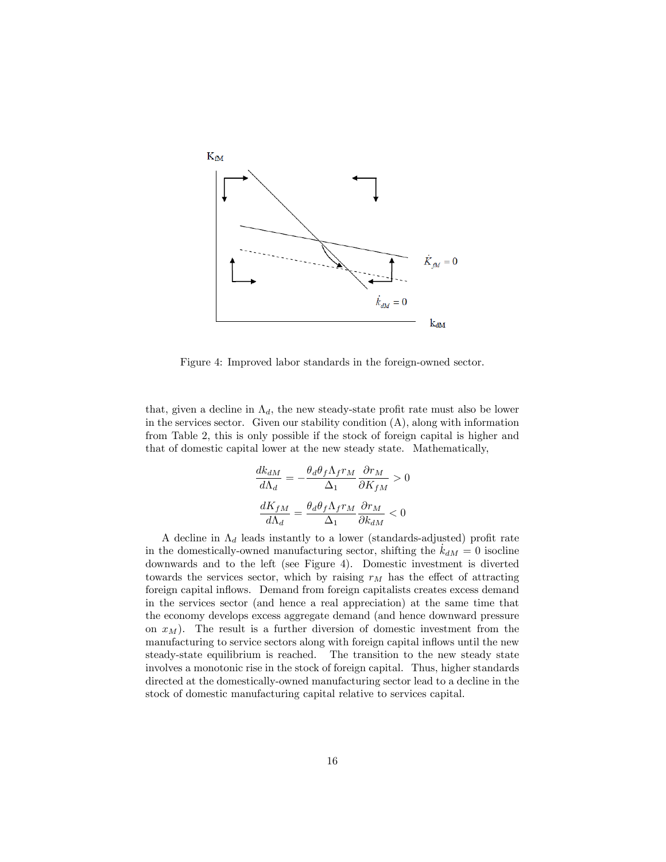

Figure 4: Improved labor standards in the foreign-owned sector.

that, given a decline in  $\Lambda_d$ , the new steady-state profit rate must also be lower in the services sector. Given our stability condition  $(A)$ , along with information from Table 2, this is only possible if the stock of foreign capital is higher and that of domestic capital lower at the new steady state. Mathematically,

$$
\frac{dk_{dM}}{d\Lambda_d} = -\frac{\theta_d \theta_f \Lambda_f r_M}{\Delta_1} \frac{\partial r_M}{\partial K_{fM}} > 0
$$

$$
\frac{dK_{fM}}{d\Lambda_d} = \frac{\theta_d \theta_f \Lambda_f r_M}{\Delta_1} \frac{\partial r_M}{\partial k_{dM}} < 0
$$

A decline in  $\Lambda_d$  leads instantly to a lower (standards-adjusted) profit rate in the domestically-owned manufacturing sector, shifting the  $k_{dM} = 0$  isocline downwards and to the left (see Figure 4). Domestic investment is diverted towards the services sector, which by raising  $r_M$  has the effect of attracting foreign capital inflows. Demand from foreign capitalists creates excess demand in the services sector (and hence a real appreciation) at the same time that the economy develops excess aggregate demand (and hence downward pressure on  $x_M$ ). The result is a further diversion of domestic investment from the manufacturing to service sectors along with foreign capital inflows until the new steady-state equilibrium is reached. The transition to the new steady state involves a monotonic rise in the stock of foreign capital. Thus, higher standards directed at the domestically-owned manufacturing sector lead to a decline in the stock of domestic manufacturing capital relative to services capital.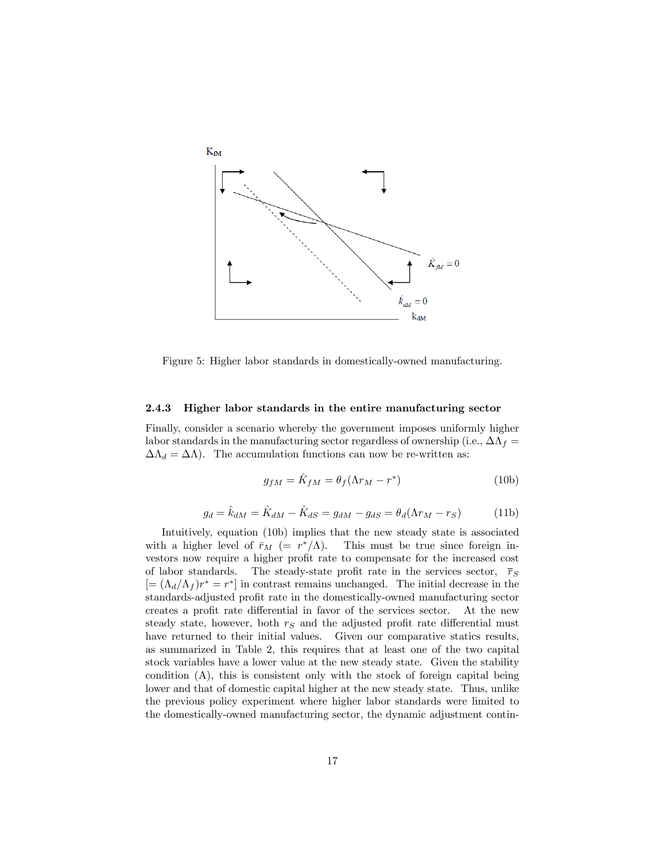

Figure 5: Higher labor standards in domestically-owned manufacturing.

#### 2.4.3 Higher labor standards in the entire manufacturing sector

Finally, consider a scenario whereby the government imposes uniformly higher labor standards in the manufacturing sector regardless of ownership (i.e.,  $\Delta\Lambda_f =$  $\Delta \Lambda_d = \Delta \Lambda$ ). The accumulation functions can now be re-written as:

$$
g_{fM} = \hat{K}_{fM} = \theta_f(\Lambda r_M - r^*)
$$
\n(10b)

$$
g_d = \hat{k}_{dM} = \hat{K}_{dM} - \hat{K}_{dS} = g_{dM} - g_{dS} = \theta_d(\Lambda r_M - r_S)
$$
(11b)

Intuitively, equation (10b) implies that the new steady state is associated with a higher level of  $\bar{r}_M$  (=  $r^*/\Lambda$ ). This must be true since foreign investors now require a higher profit rate to compensate for the increased cost of labor standards. The steady-state profit rate in the services sector,  $\bar{r}_S$  $[=(\Lambda_d/\Lambda_f) r^* = r^*]$  in contrast remains unchanged. The initial decrease in the standards-adjusted profit rate in the domestically-owned manufacturing sector creates a profit rate differential in favor of the services sector. At the new steady state, however, both  $r<sub>S</sub>$  and the adjusted profit rate differential must have returned to their initial values. Given our comparative statics results, as summarized in Table 2, this requires that at least one of the two capital stock variables have a lower value at the new steady state. Given the stability condition (A), this is consistent only with the stock of foreign capital being lower and that of domestic capital higher at the new steady state. Thus, unlike the previous policy experiment where higher labor standards were limited to the domestically-owned manufacturing sector, the dynamic adjustment contin-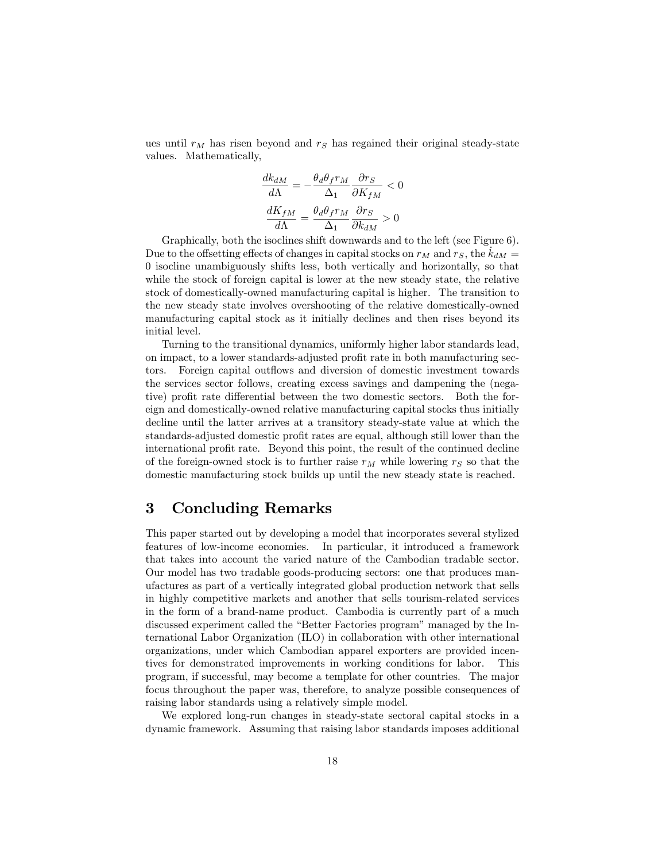ues until  $r_M$  has risen beyond and  $r_S$  has regained their original steady-state values. Mathematically,

$$
\frac{dk_{dM}}{d\Lambda} = -\frac{\theta_d \theta_f r_M}{\Delta_1} \frac{\partial r_S}{\partial K_{fM}} < 0
$$

$$
\frac{dK_{fM}}{d\Lambda} = \frac{\theta_d \theta_f r_M}{\Delta_1} \frac{\partial r_S}{\partial k_{dM}} > 0
$$

Graphically, both the isoclines shift downwards and to the left (see Figure 6). Due to the offsetting effects of changes in capital stocks on  $r_M$  and  $r_S$ , the  $k_{dM} =$ 0 isocline unambiguously shifts less, both vertically and horizontally, so that while the stock of foreign capital is lower at the new steady state, the relative stock of domestically-owned manufacturing capital is higher. The transition to the new steady state involves overshooting of the relative domestically-owned manufacturing capital stock as it initially declines and then rises beyond its initial level.

Turning to the transitional dynamics, uniformly higher labor standards lead, on impact, to a lower standards-adjusted profit rate in both manufacturing sectors. Foreign capital outflows and diversion of domestic investment towards the services sector follows, creating excess savings and dampening the (negative) profit rate differential between the two domestic sectors. Both the foreign and domestically-owned relative manufacturing capital stocks thus initially decline until the latter arrives at a transitory steady-state value at which the standards-adjusted domestic profit rates are equal, although still lower than the international profit rate. Beyond this point, the result of the continued decline of the foreign-owned stock is to further raise  $r_M$  while lowering  $r_S$  so that the domestic manufacturing stock builds up until the new steady state is reached.

## 3 Concluding Remarks

This paper started out by developing a model that incorporates several stylized features of low-income economies. In particular, it introduced a framework that takes into account the varied nature of the Cambodian tradable sector. Our model has two tradable goods-producing sectors: one that produces manufactures as part of a vertically integrated global production network that sells in highly competitive markets and another that sells tourism-related services in the form of a brand-name product. Cambodia is currently part of a much discussed experiment called the "Better Factories program" managed by the International Labor Organization (ILO) in collaboration with other international organizations, under which Cambodian apparel exporters are provided incentives for demonstrated improvements in working conditions for labor. This program, if successful, may become a template for other countries. The major focus throughout the paper was, therefore, to analyze possible consequences of raising labor standards using a relatively simple model.

We explored long-run changes in steady-state sectoral capital stocks in a dynamic framework. Assuming that raising labor standards imposes additional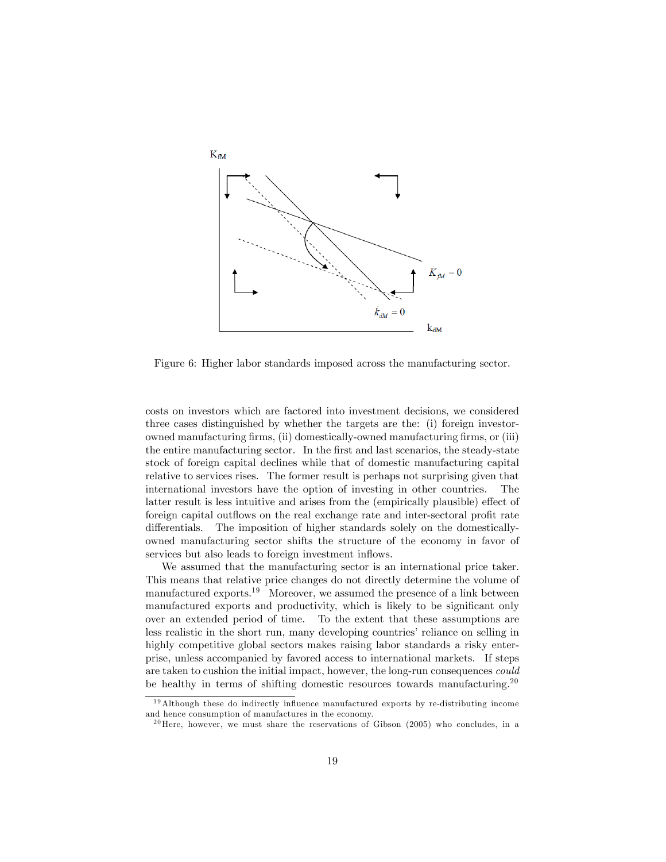

Figure 6: Higher labor standards imposed across the manufacturing sector.

costs on investors which are factored into investment decisions, we considered three cases distinguished by whether the targets are the: (i) foreign investorowned manufacturing Örms, (ii) domestically-owned manufacturing Örms, or (iii) the entire manufacturing sector. In the Örst and last scenarios, the steady-state stock of foreign capital declines while that of domestic manufacturing capital relative to services rises. The former result is perhaps not surprising given that international investors have the option of investing in other countries. The latter result is less intuitive and arises from the (empirically plausible) effect of foreign capital outflows on the real exchange rate and inter-sectoral profit rate differentials. The imposition of higher standards solely on the domesticallyowned manufacturing sector shifts the structure of the economy in favor of services but also leads to foreign investment inflows.

We assumed that the manufacturing sector is an international price taker. This means that relative price changes do not directly determine the volume of manufactured exports.<sup>19</sup> Moreover, we assumed the presence of a link between manufactured exports and productivity, which is likely to be significant only over an extended period of time. To the extent that these assumptions are less realistic in the short run, many developing countries' reliance on selling in highly competitive global sectors makes raising labor standards a risky enterprise, unless accompanied by favored access to international markets. If steps are taken to cushion the initial impact, however, the long-run consequences could be healthy in terms of shifting domestic resources towards manufacturing.<sup>20</sup>

 $19$ Although these do indirectly influence manufactured exports by re-distributing income and hence consumption of manufactures in the economy.

 $^{20}$  Here, however, we must share the reservations of Gibson (2005) who concludes, in a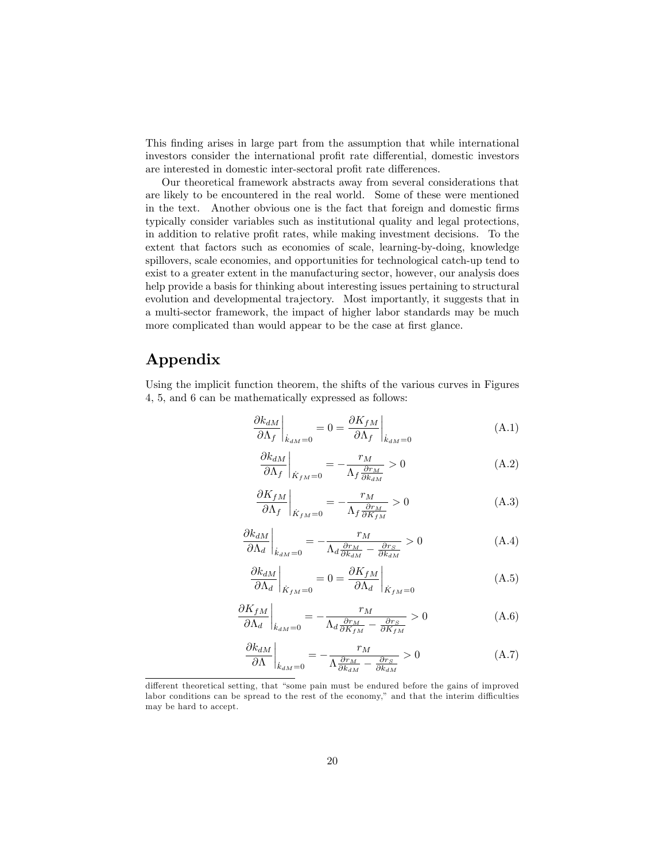This Önding arises in large part from the assumption that while international investors consider the international profit rate differential, domestic investors are interested in domestic inter-sectoral profit rate differences.

Our theoretical framework abstracts away from several considerations that are likely to be encountered in the real world. Some of these were mentioned in the text. Another obvious one is the fact that foreign and domestic firms typically consider variables such as institutional quality and legal protections, in addition to relative profit rates, while making investment decisions. To the extent that factors such as economies of scale, learning-by-doing, knowledge spillovers, scale economies, and opportunities for technological catch-up tend to exist to a greater extent in the manufacturing sector, however, our analysis does help provide a basis for thinking about interesting issues pertaining to structural evolution and developmental trajectory. Most importantly, it suggests that in a multi-sector framework, the impact of higher labor standards may be much more complicated than would appear to be the case at first glance.

## Appendix

Using the implicit function theorem, the shifts of the various curves in Figures 4, 5, and 6 can be mathematically expressed as follows:

$$
\left. \frac{\partial k_{dM}}{\partial \Lambda_f} \right|_{\dot{k}_{dM} = 0} = 0 = \left. \frac{\partial K_{fM}}{\partial \Lambda_f} \right|_{\dot{k}_{dM} = 0} \tag{A.1}
$$

$$
\left. \frac{\partial k_{dM}}{\partial \Lambda_f} \right|_{\dot{K}_{fM} = 0} = -\frac{r_M}{\Lambda_f \frac{\partial r_M}{\partial k_{dM}}} > 0
$$
\n(A.2)

$$
\left. \frac{\partial K_{fM}}{\partial \Lambda_f} \right|_{\dot{K}_{fM} = 0} = -\frac{r_M}{\Lambda_f \frac{\partial r_M}{\partial K_{fM}}} > 0 \tag{A.3}
$$

$$
\left. \frac{\partial k_{dM}}{\partial \Lambda_d} \right|_{\dot{k}_{dM} = 0} = -\frac{r_M}{\Lambda_d \frac{\partial r_M}{\partial k_{dM}} - \frac{\partial r_S}{\partial k_{dM}}} > 0
$$
\n(A.4)

$$
\left. \frac{\partial k_{dM}}{\partial \Lambda_d} \right|_{\dot{K}_{fM} = 0} = 0 = \left. \frac{\partial K_{fM}}{\partial \Lambda_d} \right|_{\dot{K}_{fM} = 0} \tag{A.5}
$$

$$
\left. \frac{\partial K_{fM}}{\partial \Lambda_d} \right|_{\dot{k}_{dM} = 0} = -\frac{r_M}{\Lambda_d \frac{\partial r_M}{\partial K_{fM}} - \frac{\partial r_S}{\partial K_{fM}}} > 0
$$
\n(A.6)

$$
\left. \frac{\partial k_{dM}}{\partial \Lambda} \right|_{\dot{k}_{dM} = 0} = -\frac{r_M}{\Lambda \frac{\partial r_M}{\partial k_{dM}} - \frac{\partial r_S}{\partial k_{dM}}} > 0 \tag{A.7}
$$

different theoretical setting, that "some pain must be endured before the gains of improved labor conditions can be spread to the rest of the economy," and that the interim difficulties may be hard to accept.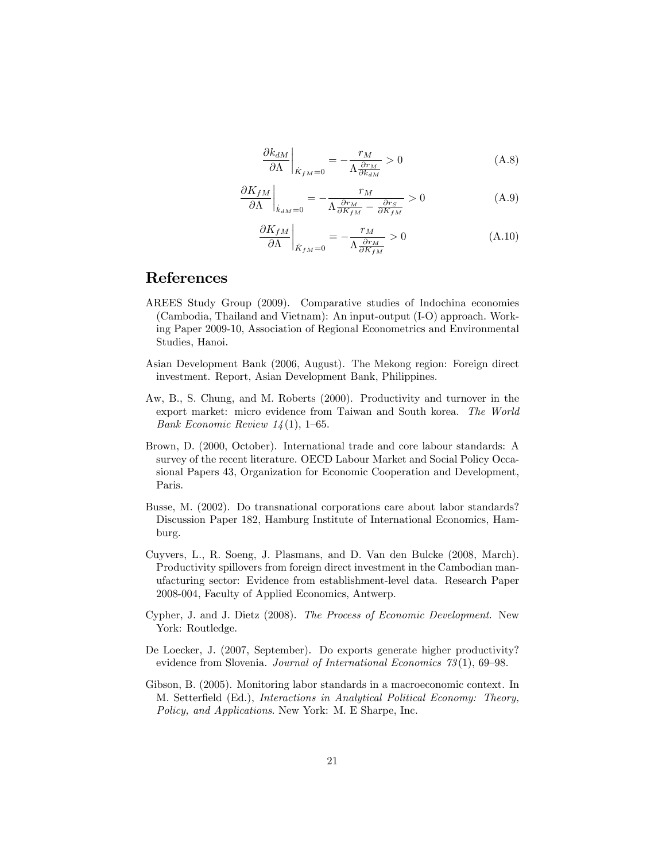$$
\left. \frac{\partial k_{dM}}{\partial \Lambda} \right|_{\dot{K}_{fM} = 0} = -\frac{r_M}{\Lambda \frac{\partial r_M}{\partial k_{dM}}} > 0
$$
\n(A.8)

$$
\left. \frac{\partial K_{fM}}{\partial \Lambda} \right|_{\dot{k}_{dM} = 0} = -\frac{r_M}{\Lambda \frac{\partial r_M}{\partial K_{fM}} - \frac{\partial r_S}{\partial K_{fM}}} > 0 \tag{A.9}
$$

$$
\left. \frac{\partial K_{fM}}{\partial \Lambda} \right|_{\dot{K}_{fM} = 0} = -\frac{r_M}{\Lambda \frac{\partial r_M}{\partial K_{fM}}} > 0 \tag{A.10}
$$

### References

- AREES Study Group (2009). Comparative studies of Indochina economies (Cambodia, Thailand and Vietnam): An input-output (I-O) approach. Working Paper 2009-10, Association of Regional Econometrics and Environmental Studies, Hanoi.
- Asian Development Bank (2006, August). The Mekong region: Foreign direct investment. Report, Asian Development Bank, Philippines.
- Aw, B., S. Chung, and M. Roberts (2000). Productivity and turnover in the export market: micro evidence from Taiwan and South korea. The World Bank Economic Review  $14(1)$ , 1–65.
- Brown, D. (2000, October). International trade and core labour standards: A survey of the recent literature. OECD Labour Market and Social Policy Occasional Papers 43, Organization for Economic Cooperation and Development, Paris.
- Busse, M. (2002). Do transnational corporations care about labor standards? Discussion Paper 182, Hamburg Institute of International Economics, Hamburg.
- Cuyvers, L., R. Soeng, J. Plasmans, and D. Van den Bulcke (2008, March). Productivity spillovers from foreign direct investment in the Cambodian manufacturing sector: Evidence from establishment-level data. Research Paper 2008-004, Faculty of Applied Economics, Antwerp.
- Cypher, J. and J. Dietz (2008). The Process of Economic Development. New York: Routledge.
- De Loecker, J. (2007, September). Do exports generate higher productivity? evidence from Slovenia. Journal of International Economics  $73(1)$ , 69–98.
- Gibson, B. (2005). Monitoring labor standards in a macroeconomic context. In M. SetterÖeld (Ed.), Interactions in Analytical Political Economy: Theory, Policy, and Applications. New York: M. E Sharpe, Inc.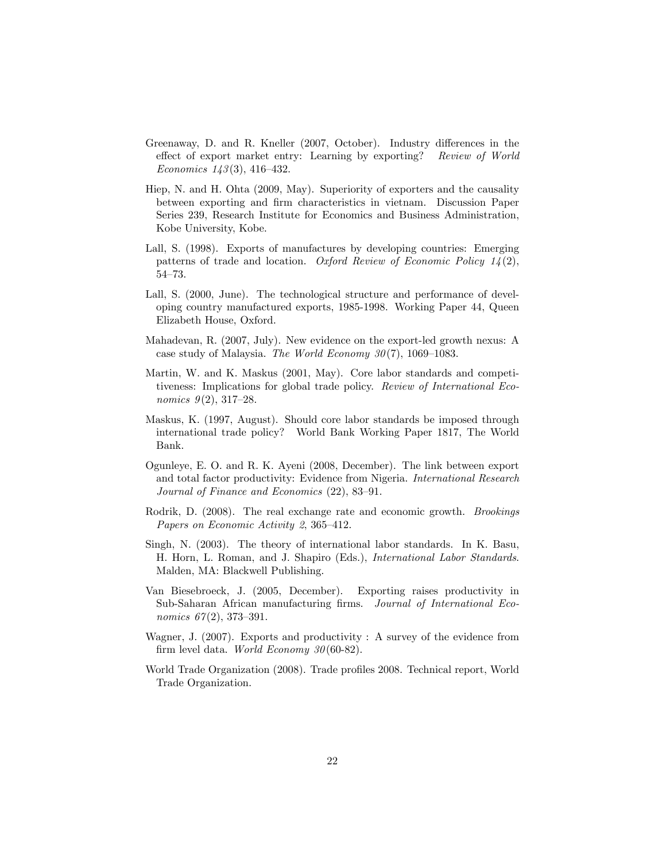- Greenaway, D. and R. Kneller (2007, October). Industry differences in the effect of export market entry: Learning by exporting? Review of World Economics  $143(3)$ , 416-432.
- Hiep, N. and H. Ohta (2009, May). Superiority of exporters and the causality between exporting and Örm characteristics in vietnam. Discussion Paper Series 239, Research Institute for Economics and Business Administration, Kobe University, Kobe.
- Lall, S. (1998). Exports of manufactures by developing countries: Emerging patterns of trade and location. Oxford Review of Economic Policy  $1/4(2)$ ,  $54 - 73.$
- Lall, S. (2000, June). The technological structure and performance of developing country manufactured exports, 1985-1998. Working Paper 44, Queen Elizabeth House, Oxford.
- Mahadevan, R. (2007, July). New evidence on the export-led growth nexus: A case study of Malaysia. The World Economy  $30(7)$ , 1069–1083.
- Martin, W. and K. Maskus (2001, May). Core labor standards and competitiveness: Implications for global trade policy. Review of International Economics  $9(2)$ , 317–28.
- Maskus, K. (1997, August). Should core labor standards be imposed through international trade policy? World Bank Working Paper 1817, The World Bank.
- Ogunleye, E. O. and R. K. Ayeni (2008, December). The link between export and total factor productivity: Evidence from Nigeria. International Research Journal of Finance and Economics  $(22)$ , 83–91.
- Rodrik, D. (2008). The real exchange rate and economic growth. Brookings Papers on Economic Activity 2, 365–412.
- Singh, N. (2003). The theory of international labor standards. In K. Basu, H. Horn, L. Roman, and J. Shapiro (Eds.), International Labor Standards. Malden, MA: Blackwell Publishing.
- Van Biesebroeck, J. (2005, December). Exporting raises productivity in Sub-Saharan African manufacturing firms. Journal of International Economics  $67(2)$ , 373-391.
- Wagner, J. (2007). Exports and productivity : A survey of the evidence from firm level data. World Economy  $30(60-82)$ .
- World Trade Organization (2008). Trade profiles 2008. Technical report, World Trade Organization.